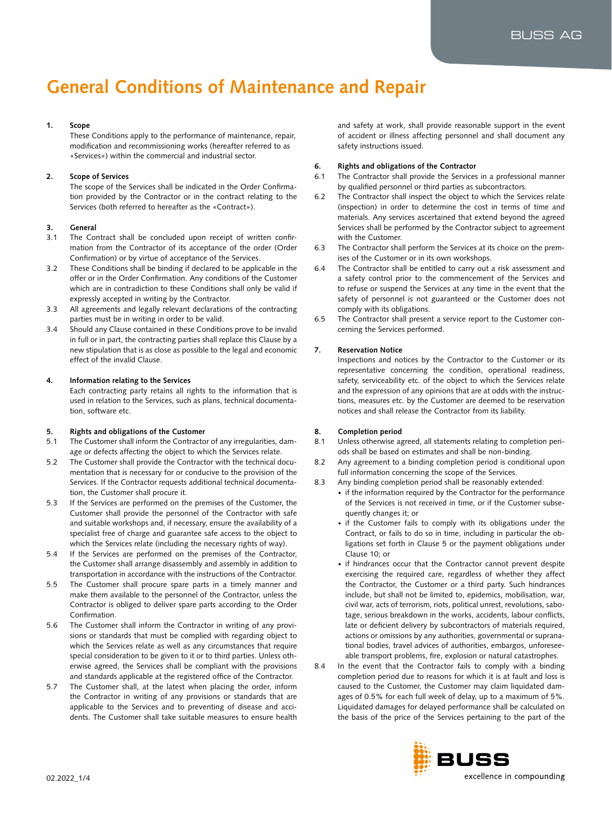# **General Conditions of Maintenance and Repair**

# **1. Scope**

These Conditions apply to the performance of maintenance, repair, modification and recommissioning works (hereafter referred to as «Services») within the commercial and industrial sector.

# **2. Scope of Services**

The scope of the Services shall be indicated in the Order Confirmation provided by the Contractor or in the contract relating to the Services (both referred to hereafter as the «Contract»).

# **3. General**

- 3.1 The Contract shall be concluded upon receipt of written confirmation from the Contractor of its acceptance of the order (Order Confirmation) or by virtue of acceptance of the Services.
- 3.2 These Conditions shall be binding if declared to be applicable in the offer or in the Order Confirmation. Any conditions of the Customer which are in contradiction to these Conditions shall only be valid if expressly accepted in writing by the Contractor.
- 3.3 All agreements and legally relevant declarations of the contracting parties must be in writing in order to be valid.
- 3.4 Should any Clause contained in these Conditions prove to be invalid in full or in part, the contracting parties shall replace this Clause by a new stipulation that is as close as possible to the legal and economic effect of the invalid Clause.

# **4. Information relating to the Services**

Each contracting party retains all rights to the information that is used in relation to the Services, such as plans, technical documentation, software etc.

# **5. Rights and obligations of the Customer**

- 5.1 The Customer shall inform the Contractor of any irregularities, damage or defects affecting the object to which the Services relate.
- 5.2 The Customer shall provide the Contractor with the technical documentation that is necessary for or conducive to the provision of the Services. If the Contractor requests additional technical documentation, the Customer shall procure it.
- 5.3 If the Services are performed on the premises of the Customer, the Customer shall provide the personnel of the Contractor with safe and suitable workshops and, if necessary, ensure the availability of a specialist free of charge and guarantee safe access to the object to which the Services relate (including the necessary rights of way).
- 5.4 If the Services are performed on the premises of the Contractor, the Customer shall arrange disassembly and assembly in addition to transportation in accordance with the instructions of the Contractor.
- 5.5 The Customer shall procure spare parts in a timely manner and make them available to the personnel of the Contractor, unless the Contractor is obliged to deliver spare parts according to the Order Confirmation.
- 5.6 The Customer shall inform the Contractor in writing of any provisions or standards that must be complied with regarding object to which the Services relate as well as any circumstances that require special consideration to be given to it or to third parties. Unless otherwise agreed, the Services shall be compliant with the provisions and standards applicable at the registered office of the Contractor.
- 5.7 The Customer shall, at the latest when placing the order, inform the Contractor in writing of any provisions or standards that are applicable to the Services and to preventing of disease and accidents. The Customer shall take suitable measures to ensure health

and safety at work, shall provide reasonable support in the event of accident or illness affecting personnel and shall document any safety instructions issued.

# **6. Rights and obligations of the Contractor**

- 6.1 The Contractor shall provide the Services in a professional manner by qualified personnel or third parties as subcontractors.
- 6.2 The Contractor shall inspect the object to which the Services relate (inspection) in order to determine the cost in terms of time and materials. Any services ascertained that extend beyond the agreed Services shall be performed by the Contractor subject to agreement with the Customer.
- 6.3 The Contractor shall perform the Services at its choice on the premises of the Customer or in its own workshops.
- 6.4 The Contractor shall be entitled to carry out a risk assessment and a safety control prior to the commencement of the Services and to refuse or suspend the Services at any time in the event that the safety of personnel is not guaranteed or the Customer does not comply with its obligations.
- 6.5 The Contractor shall present a service report to the Customer concerning the Services performed.

# **7. Reservation Notice**

Inspections and notices by the Contractor to the Customer or its representative concerning the condition, operational readiness, safety, serviceability etc. of the object to which the Services relate and the expression of any opinions that are at odds with the instructions, measures etc. by the Customer are deemed to be reservation notices and shall release the Contractor from its liability.

# **8. Completion period**

- 8.1 Unless otherwise agreed, all statements relating to completion periods shall be based on estimates and shall be non-binding.
- 8.2 Any agreement to a binding completion period is conditional upon full information concerning the scope of the Services.
- 8.3 Any binding completion period shall be reasonably extended:
	- if the information required by the Contractor for the performance of the Services is not received in time, or if the Customer subsequently changes it; or
	- if the Customer fails to comply with its obligations under the Contract, or fails to do so in time, including in particular the obligations set forth in Clause 5 or the payment obligations under Clause 10; or
	- if hindrances occur that the Contractor cannot prevent despite exercising the required care, regardless of whether they affect the Contractor, the Customer or a third party. Such hindrances include, but shall not be limited to, epidemics, mobilisation, war, civil war, acts of terrorism, riots, political unrest, revolutions, sabotage, serious breakdown in the works, accidents, labour conflicts, late or deficient delivery by subcontractors of materials required, actions or omissions by any authorities, governmental or supranational bodies, travel advices of authorities, embargos, unforeseeable transport problems, fire, explosion or natural catastrophes.
- 8.4 In the event that the Contractor fails to comply with a binding completion period due to reasons for which it is at fault and loss is caused to the Customer, the Customer may claim liquidated damages of 0.5% for each full week of delay, up to a maximum of 5%. Liquidated damages for delayed performance shall be calculated on the basis of the price of the Services pertaining to the part of the

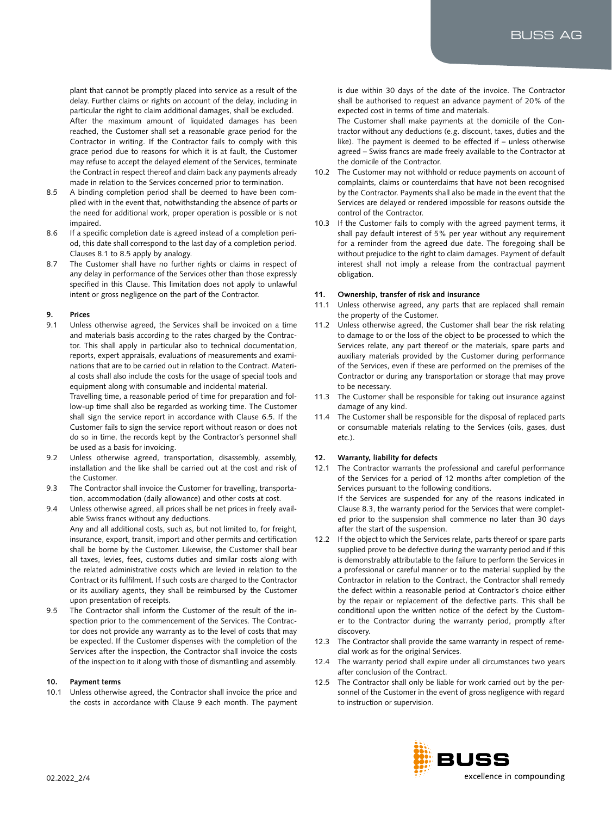plant that cannot be promptly placed into service as a result of the delay. Further claims or rights on account of the delay, including in particular the right to claim additional damages, shall be excluded. After the maximum amount of liquidated damages has been reached, the Customer shall set a reasonable grace period for the Contractor in writing. If the Contractor fails to comply with this grace period due to reasons for which it is at fault, the Customer may refuse to accept the delayed element of the Services, terminate the Contract in respect thereof and claim back any payments already made in relation to the Services concerned prior to termination.

- 8.5 A binding completion period shall be deemed to have been complied with in the event that, notwithstanding the absence of parts or the need for additional work, proper operation is possible or is not impaired.
- 8.6 If a specific completion date is agreed instead of a completion period, this date shall correspond to the last day of a completion period. Clauses 8.1 to 8.5 apply by analogy.
- 8.7 The Customer shall have no further rights or claims in respect of any delay in performance of the Services other than those expressly specified in this Clause. This limitation does not apply to unlawful intent or gross negligence on the part of the Contractor.

#### **9. Prices**

9.1 Unless otherwise agreed, the Services shall be invoiced on a time and materials basis according to the rates charged by the Contractor. This shall apply in particular also to technical documentation, reports, expert appraisals, evaluations of measurements and examinations that are to be carried out in relation to the Contract. Material costs shall also include the costs for the usage of special tools and equipment along with consumable and incidental material.

Travelling time, a reasonable period of time for preparation and follow-up time shall also be regarded as working time. The Customer shall sign the service report in accordance with Clause 6.5. If the Customer fails to sign the service report without reason or does not do so in time, the records kept by the Contractor's personnel shall be used as a basis for invoicing.

- 9.2 Unless otherwise agreed, transportation, disassembly, assembly, installation and the like shall be carried out at the cost and risk of the Customer.
- 9.3 The Contractor shall invoice the Customer for travelling, transportation, accommodation (daily allowance) and other costs at cost.
- 9.4 Unless otherwise agreed, all prices shall be net prices in freely available Swiss francs without any deductions. Any and all additional costs, such as, but not limited to, for freight, insurance, export, transit, import and other permits and certification shall be borne by the Customer. Likewise, the Customer shall bear all taxes, levies, fees, customs duties and similar costs along with the related administrative costs which are levied in relation to the Contract or its fulfilment. If such costs are charged to the Contractor or its auxiliary agents, they shall be reimbursed by the Customer upon presentation of receipts.
- 9.5 The Contractor shall inform the Customer of the result of the inspection prior to the commencement of the Services. The Contractor does not provide any warranty as to the level of costs that may be expected. If the Customer dispenses with the completion of the Services after the inspection, the Contractor shall invoice the costs of the inspection to it along with those of dismantling and assembly.

#### **10. Payment terms**

10.1 Unless otherwise agreed, the Contractor shall invoice the price and the costs in accordance with Clause 9 each month. The payment is due within 30 days of the date of the invoice. The Contractor shall be authorised to request an advance payment of 20% of the expected cost in terms of time and materials.

The Customer shall make payments at the domicile of the Contractor without any deductions (e.g. discount, taxes, duties and the like). The payment is deemed to be effected if – unless otherwise agreed – Swiss francs are made freely available to the Contractor at the domicile of the Contractor.

- 10.2 The Customer may not withhold or reduce payments on account of complaints, claims or counterclaims that have not been recognised by the Contractor. Payments shall also be made in the event that the Services are delayed or rendered impossible for reasons outside the control of the Contractor.
- 10.3 If the Customer fails to comply with the agreed payment terms, it shall pay default interest of 5% per year without any requirement for a reminder from the agreed due date. The foregoing shall be without prejudice to the right to claim damages. Payment of default interest shall not imply a release from the contractual payment obligation.

#### **11. Ownership, transfer of risk and insurance**

- 11.1 Unless otherwise agreed, any parts that are replaced shall remain the property of the Customer.
- 11.2 Unless otherwise agreed, the Customer shall bear the risk relating to damage to or the loss of the object to be processed to which the Services relate, any part thereof or the materials, spare parts and auxiliary materials provided by the Customer during performance of the Services, even if these are performed on the premises of the Contractor or during any transportation or storage that may prove to be necessary.
- 11.3 The Customer shall be responsible for taking out insurance against damage of any kind.
- 11.4 The Customer shall be responsible for the disposal of replaced parts or consumable materials relating to the Services (oils, gases, dust etc.).

#### **12. Warranty, liability for defects**

- 12.1 The Contractor warrants the professional and careful performance of the Services for a period of 12 months after completion of the Services pursuant to the following conditions. If the Services are suspended for any of the reasons indicated in Clause 8.3, the warranty period for the Services that were completed prior to the suspension shall commence no later than 30 days after the start of the suspension.
- 12.2 If the object to which the Services relate, parts thereof or spare parts supplied prove to be defective during the warranty period and if this is demonstrably attributable to the failure to perform the Services in a professional or careful manner or to the material supplied by the Contractor in relation to the Contract, the Contractor shall remedy the defect within a reasonable period at Contractor's choice either by the repair or replacement of the defective parts. This shall be conditional upon the written notice of the defect by the Customer to the Contractor during the warranty period, promptly after discovery.
- 12.3 The Contractor shall provide the same warranty in respect of remedial work as for the original Services.
- 12.4 The warranty period shall expire under all circumstances two years after conclusion of the Contract.
- 12.5 The Contractor shall only be liable for work carried out by the personnel of the Customer in the event of gross negligence with regard to instruction or supervision.

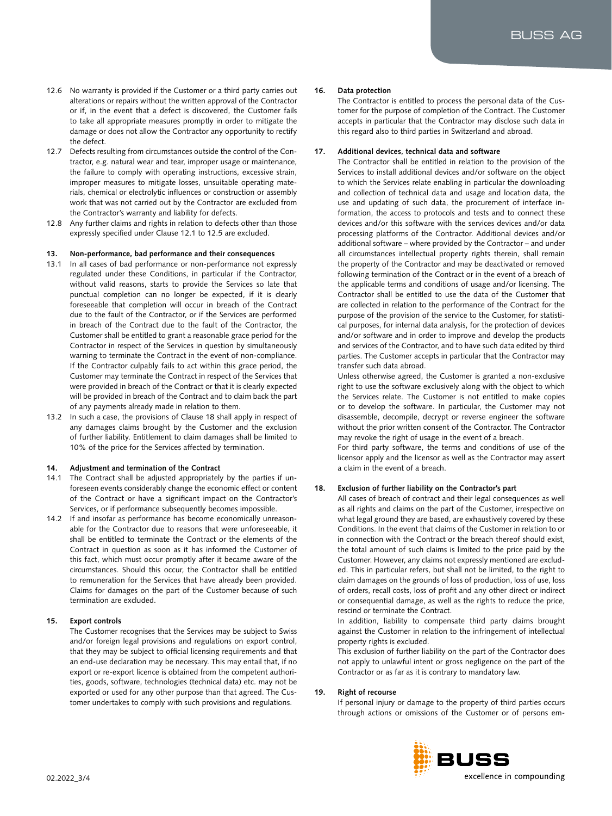- 12.6 No warranty is provided if the Customer or a third party carries out alterations or repairs without the written approval of the Contractor or if, in the event that a defect is discovered, the Customer fails to take all appropriate measures promptly in order to mitigate the damage or does not allow the Contractor any opportunity to rectify the defect.
- 12.7 Defects resulting from circumstances outside the control of the Contractor, e.g. natural wear and tear, improper usage or maintenance, the failure to comply with operating instructions, excessive strain, improper measures to mitigate losses, unsuitable operating materials, chemical or electrolytic influences or construction or assembly work that was not carried out by the Contractor are excluded from the Contractor's warranty and liability for defects.
- 12.8 Any further claims and rights in relation to defects other than those expressly specified under Clause 12.1 to 12.5 are excluded.

## **13. Non-performance, bad performance and their consequences**

- 13.1 In all cases of bad performance or non-performance not expressly regulated under these Conditions, in particular if the Contractor, without valid reasons, starts to provide the Services so late that punctual completion can no longer be expected, if it is clearly foreseeable that completion will occur in breach of the Contract due to the fault of the Contractor, or if the Services are performed in breach of the Contract due to the fault of the Contractor, the Customer shall be entitled to grant a reasonable grace period for the Contractor in respect of the Services in question by simultaneously warning to terminate the Contract in the event of non-compliance. If the Contractor culpably fails to act within this grace period, the Customer may terminate the Contract in respect of the Services that were provided in breach of the Contract or that it is clearly expected will be provided in breach of the Contract and to claim back the part of any payments already made in relation to them.
- 13.2 In such a case, the provisions of Clause 18 shall apply in respect of any damages claims brought by the Customer and the exclusion of further liability. Entitlement to claim damages shall be limited to 10% of the price for the Services affected by termination.

## **14. Adjustment and termination of the Contract**

- 14.1 The Contract shall be adjusted appropriately by the parties if unforeseen events considerably change the economic effect or content of the Contract or have a significant impact on the Contractor's Services, or if performance subsequently becomes impossible.
- 14.2 If and insofar as performance has become economically unreasonable for the Contractor due to reasons that were unforeseeable, it shall be entitled to terminate the Contract or the elements of the Contract in question as soon as it has informed the Customer of this fact, which must occur promptly after it became aware of the circumstances. Should this occur, the Contractor shall be entitled to remuneration for the Services that have already been provided. Claims for damages on the part of the Customer because of such termination are excluded.

# **15. Export controls**

The Customer recognises that the Services may be subject to Swiss and/or foreign legal provisions and regulations on export control, that they may be subject to official licensing requirements and that an end-use declaration may be necessary. This may entail that, if no export or re-export licence is obtained from the competent authorities, goods, software, technologies (technical data) etc. may not be exported or used for any other purpose than that agreed. The Customer undertakes to comply with such provisions and regulations.

## **16. Data protection**

The Contractor is entitled to process the personal data of the Customer for the purpose of completion of the Contract. The Customer accepts in particular that the Contractor may disclose such data in this regard also to third parties in Switzerland and abroad.

## **17. Additional devices, technical data and software**

The Contractor shall be entitled in relation to the provision of the Services to install additional devices and/or software on the object to which the Services relate enabling in particular the downloading and collection of technical data and usage and location data, the use and updating of such data, the procurement of interface information, the access to protocols and tests and to connect these devices and/or this software with the services devices and/or data processing platforms of the Contractor. Additional devices and/or additional software – where provided by the Contractor – and under all circumstances intellectual property rights therein, shall remain the property of the Contractor and may be deactivated or removed following termination of the Contract or in the event of a breach of the applicable terms and conditions of usage and/or licensing. The Contractor shall be entitled to use the data of the Customer that are collected in relation to the performance of the Contract for the purpose of the provision of the service to the Customer, for statistical purposes, for internal data analysis, for the protection of devices and/or software and in order to improve and develop the products and services of the Contractor, and to have such data edited by third parties. The Customer accepts in particular that the Contractor may transfer such data abroad.

Unless otherwise agreed, the Customer is granted a non-exclusive right to use the software exclusively along with the object to which the Services relate. The Customer is not entitled to make copies or to develop the software. In particular, the Customer may not disassemble, decompile, decrypt or reverse engineer the software without the prior written consent of the Contractor. The Contractor may revoke the right of usage in the event of a breach.

For third party software, the terms and conditions of use of the licensor apply and the licensor as well as the Contractor may assert a claim in the event of a breach.

## **18. Exclusion of further liability on the Contractor's part**

All cases of breach of contract and their legal consequences as well as all rights and claims on the part of the Customer, irrespective on what legal ground they are based, are exhaustively covered by these Conditions. In the event that claims of the Customer in relation to or in connection with the Contract or the breach thereof should exist, the total amount of such claims is limited to the price paid by the Customer. However, any claims not expressly mentioned are excluded. This in particular refers, but shall not be limited, to the right to claim damages on the grounds of loss of production, loss of use, loss of orders, recall costs, loss of profit and any other direct or indirect or consequential damage, as well as the rights to reduce the price, rescind or terminate the Contract.

In addition, liability to compensate third party claims brought against the Customer in relation to the infringement of intellectual property rights is excluded.

This exclusion of further liability on the part of the Contractor does not apply to unlawful intent or gross negligence on the part of the Contractor or as far as it is contrary to mandatory law.

## **19. Right of recourse**

If personal injury or damage to the property of third parties occurs through actions or omissions of the Customer or of persons em-